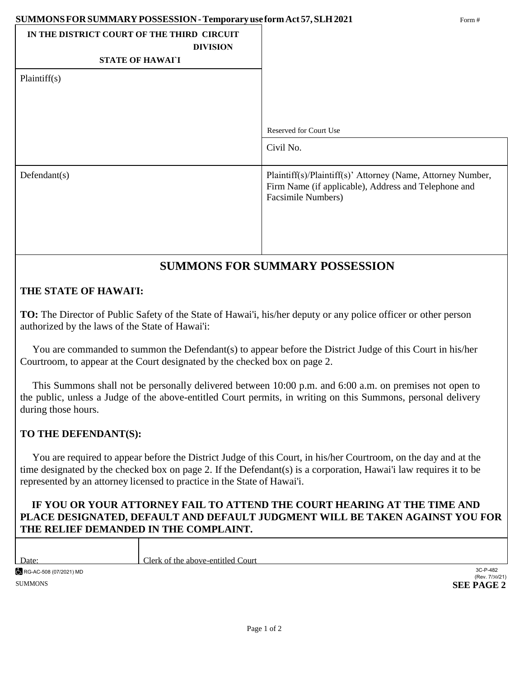### **SUMMONSFORSUMMARY POSSESSION-Temporaryuse formAct 57,SLH2021** Form #

| DUMINUTOR CROUMMART I ODDEDDIOIT - I UMPOI AI Y USCIOI III ACCO I, OEHI 2021<br>$1$ OIIII $\pi$ |                                                                                                                                           |  |
|-------------------------------------------------------------------------------------------------|-------------------------------------------------------------------------------------------------------------------------------------------|--|
| IN THE DISTRICT COURT OF THE THIRD CIRCUIT<br><b>DIVISION</b><br><b>STATE OF HAWATI</b>         |                                                                                                                                           |  |
| Plaintiff(s)                                                                                    |                                                                                                                                           |  |
|                                                                                                 | <b>Reserved for Court Use</b>                                                                                                             |  |
|                                                                                                 | Civil No.                                                                                                                                 |  |
| Defendant(s)                                                                                    | Plaintiff(s)/Plaintiff(s)' Attorney (Name, Attorney Number,<br>Firm Name (if applicable), Address and Telephone and<br>Facsimile Numbers) |  |
|                                                                                                 |                                                                                                                                           |  |

## **SUMMONS FOR SUMMARY POSSESSION**

## **THE STATE OF HAWAI**'**I:**

**TO:** The Director of Public Safety of the State of Hawai'i, his/her deputy or any police officer or other person authorized by the laws of the State of Hawai'i:

You are commanded to summon the Defendant(s) to appear before the District Judge of this Court in his/her Courtroom, to appear at the Court designated by the checked box on page 2.

This Summons shall not be personally delivered between 10:00 p.m. and 6:00 a.m. on premises not open to the public, unless a Judge of the above-entitled Court permits, in writing on this Summons, personal delivery during those hours.

## **TO THE DEFENDANT(S):**

Τ

You are required to appear before the District Judge of this Court, in his/her Courtroom, on the day and at the time designated by the checked box on page 2. If the Defendant(s) is a corporation, Hawai'i law requires it to be represented by an attorney licensed to practice in the State of Hawai'i.

## **IF YOU OR YOUR ATTORNEY FAIL TO ATTEND THE COURT HEARING AT THE TIME AND PLACE DESIGNATED, DEFAULT AND DEFAULT JUDGMENT WILL BE TAKEN AGAINST YOU FOR THE RELIEF DEMANDED IN THE COMPLAINT.**

| Date:                  | Clerk of the above-entitled Court |                            |
|------------------------|-----------------------------------|----------------------------|
| RG-AC-508 (07/2021) MD |                                   | 3C-P-482<br>(Rev. 7/30/21) |
| <b>SUMMONS</b>         |                                   | <b>SEE PAGE 2</b>          |